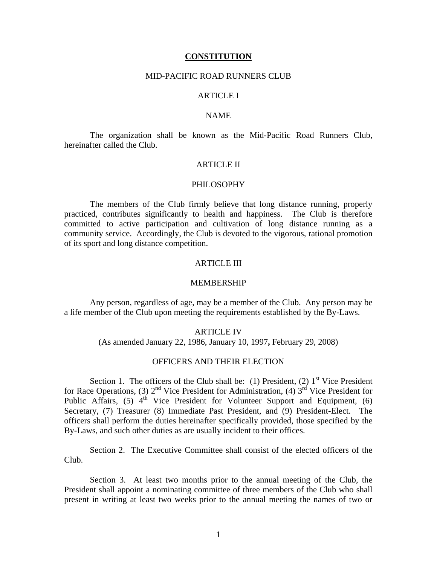#### **CONSTITUTION**

### MID-PACIFIC ROAD RUNNERS CLUB

## ARTICLE I

### NAME

 The organization shall be known as the Mid-Pacific Road Runners Club, hereinafter called the Club.

# ARTICLE II

### PHILOSOPHY

 The members of the Club firmly believe that long distance running, properly practiced, contributes significantly to health and happiness. The Club is therefore committed to active participation and cultivation of long distance running as a community service. Accordingly, the Club is devoted to the vigorous, rational promotion of its sport and long distance competition.

# ARTICLE III

#### MEMBERSHIP

 Any person, regardless of age, may be a member of the Club. Any person may be a life member of the Club upon meeting the requirements established by the By-Laws.

### ARTICLE IV

(As amended January 22, 1986, January 10, 1997**,** February 29, 2008)

### OFFICERS AND THEIR ELECTION

Section 1. The officers of the Club shall be: (1) President, (2)  $1<sup>st</sup>$  Vice President for Race Operations, (3)  $2^{nd}$  Vice President for Administration, (4)  $3^{rd}$  Vice President for Public Affairs,  $(5)$  4<sup>th</sup> Vice President for Volunteer Support and Equipment,  $(6)$ Secretary, (7) Treasurer (8) Immediate Past President, and (9) President-Elect. The officers shall perform the duties hereinafter specifically provided, those specified by the By-Laws, and such other duties as are usually incident to their offices.

 Section 2. The Executive Committee shall consist of the elected officers of the Club.

 Section 3. At least two months prior to the annual meeting of the Club, the President shall appoint a nominating committee of three members of the Club who shall present in writing at least two weeks prior to the annual meeting the names of two or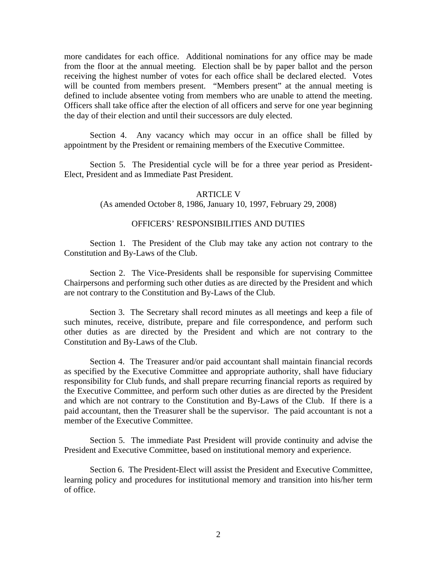more candidates for each office. Additional nominations for any office may be made from the floor at the annual meeting. Election shall be by paper ballot and the person receiving the highest number of votes for each office shall be declared elected. Votes will be counted from members present. "Members present" at the annual meeting is defined to include absentee voting from members who are unable to attend the meeting. Officers shall take office after the election of all officers and serve for one year beginning the day of their election and until their successors are duly elected.

 Section 4. Any vacancy which may occur in an office shall be filled by appointment by the President or remaining members of the Executive Committee.

 Section 5. The Presidential cycle will be for a three year period as President-Elect, President and as Immediate Past President.

### **ARTICLE V**

(As amended October 8, 1986, January 10, 1997, February 29, 2008)

# OFFICERS' RESPONSIBILITIES AND DUTIES

 Section 1. The President of the Club may take any action not contrary to the Constitution and By-Laws of the Club.

 Section 2. The Vice-Presidents shall be responsible for supervising Committee Chairpersons and performing such other duties as are directed by the President and which are not contrary to the Constitution and By-Laws of the Club.

 Section 3. The Secretary shall record minutes as all meetings and keep a file of such minutes, receive, distribute, prepare and file correspondence, and perform such other duties as are directed by the President and which are not contrary to the Constitution and By-Laws of the Club.

 Section 4. The Treasurer and/or paid accountant shall maintain financial records as specified by the Executive Committee and appropriate authority, shall have fiduciary responsibility for Club funds, and shall prepare recurring financial reports as required by the Executive Committee, and perform such other duties as are directed by the President and which are not contrary to the Constitution and By-Laws of the Club. If there is a paid accountant, then the Treasurer shall be the supervisor. The paid accountant is not a member of the Executive Committee.

Section 5. The immediate Past President will provide continuity and advise the President and Executive Committee, based on institutional memory and experience.

 Section 6. The President-Elect will assist the President and Executive Committee, learning policy and procedures for institutional memory and transition into his/her term of office.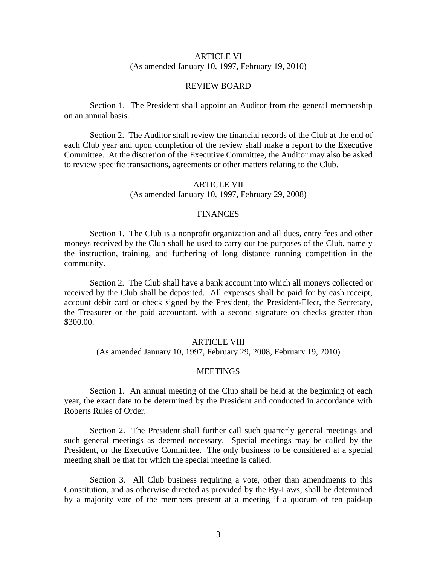## ARTICLE VI (As amended January 10, 1997, February 19, 2010)

## REVIEW BOARD

 Section 1. The President shall appoint an Auditor from the general membership on an annual basis.

 Section 2. The Auditor shall review the financial records of the Club at the end of each Club year and upon completion of the review shall make a report to the Executive Committee. At the discretion of the Executive Committee, the Auditor may also be asked to review specific transactions, agreements or other matters relating to the Club.

## ARTICLE VII

(As amended January 10, 1997, February 29, 2008)

### FINANCES

 Section 1. The Club is a nonprofit organization and all dues, entry fees and other moneys received by the Club shall be used to carry out the purposes of the Club, namely the instruction, training, and furthering of long distance running competition in the community.

 Section 2. The Club shall have a bank account into which all moneys collected or received by the Club shall be deposited. All expenses shall be paid for by cash receipt, account debit card or check signed by the President, the President-Elect, the Secretary, the Treasurer or the paid accountant, with a second signature on checks greater than \$300.00.

### ARTICLE VIII

(As amended January 10, 1997, February 29, 2008, February 19, 2010)

#### **MEETINGS**

 Section 1. An annual meeting of the Club shall be held at the beginning of each year, the exact date to be determined by the President and conducted in accordance with Roberts Rules of Order.

 Section 2. The President shall further call such quarterly general meetings and such general meetings as deemed necessary. Special meetings may be called by the President, or the Executive Committee. The only business to be considered at a special meeting shall be that for which the special meeting is called.

 Section 3. All Club business requiring a vote, other than amendments to this Constitution, and as otherwise directed as provided by the By-Laws, shall be determined by a majority vote of the members present at a meeting if a quorum of ten paid-up